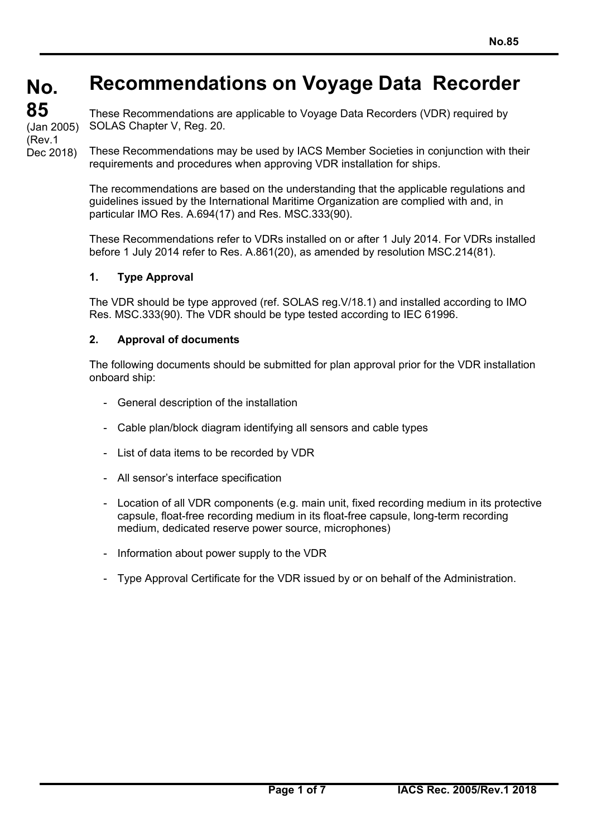# **Recommendations on Voyage Data Recorder**

**No. No. 85 85** 

(Rev.1

(Jan 2005)

These Recommendations are applicable to Voyage Data Recorders (VDR) required by SOLAS Chapter V, Reg. 20.

These Recommendations may be used by IACS Member Societies in conjunction with their requirements and procedures when approving VDR installation for ships. Dec 2018)

> The recommendations are based on the understanding that the applicable regulations and guidelines issued by the International Maritime Organization are complied with and, in particular IMO Res. A.694(17) and Res. MSC.333(90).

These Recommendations refer to VDRs installed on or after 1 July 2014. For VDRs installed before 1 July 2014 refer to Res. A.861(20), as amended by resolution MSC.214(81).

#### **1. Type Approval**

 $\overline{a}$ 

The VDR should be type approved (ref. SOLAS reg.V/18.1) and installed according to IMO Res. MSC.333(90). The VDR should be type tested according to IEC 61996.

#### **2. Approval of documents**

The following documents should be submitted for plan approval prior for the VDR installation onboard ship:

- General description of the installation
- Cable plan/block diagram identifying all sensors and cable types
- List of data items to be recorded by VDR
- All sensor's interface specification
- Location of all VDR components (e.g. main unit, fixed recording medium in its protective capsule, float-free recording medium in its float-free capsule, long-term recording medium, dedicated reserve power source, microphones)
- Information about power supply to the VDR
- Type Approval Certificate for the VDR issued by or on behalf of the Administration.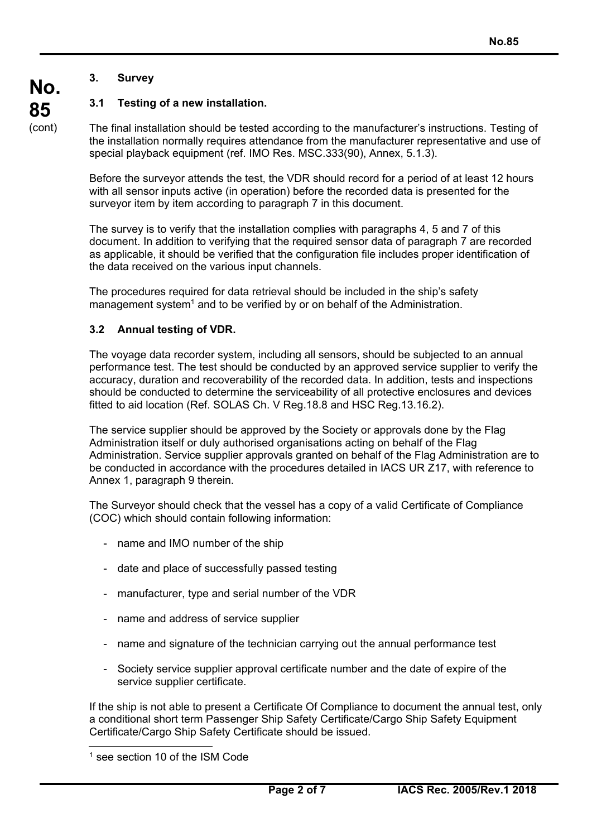## **3. Survey**

**No.** 

**85**  (cont)

## **3.1 Testing of a new installation.**

The final installation should be tested according to the manufacturer's instructions. Testing of the installation normally requires attendance from the manufacturer representative and use of special playback equipment (ref. IMO Res. MSC.333(90), Annex, 5.1.3).

Before the surveyor attends the test, the VDR should record for a period of at least 12 hours with all sensor inputs active (in operation) before the recorded data is presented for the surveyor item by item according to paragraph 7 in this document.

The survey is to verify that the installation complies with paragraphs 4, 5 and 7 of this document. In addition to verifying that the required sensor data of paragraph 7 are recorded as applicable, it should be verified that the configuration file includes proper identification of the data received on the various input channels.

The procedures required for data retrieval should be included in the ship's safety management system<sup>1</sup> and to be verified by or on behalf of the Administration.

## **3.2 Annual testing of VDR.**

The voyage data recorder system, including all sensors, should be subjected to an annual performance test. The test should be conducted by an approved service supplier to verify the accuracy, duration and recoverability of the recorded data. In addition, tests and inspections should be conducted to determine the serviceability of all protective enclosures and devices fitted to aid location (Ref. SOLAS Ch. V Reg.18.8 and HSC Reg.13.16.2).

The service supplier should be approved by the Society or approvals done by the Flag Administration itself or duly authorised organisations acting on behalf of the Flag Administration. Service supplier approvals granted on behalf of the Flag Administration are to be conducted in accordance with the procedures detailed in IACS UR Z17, with reference to Annex 1, paragraph 9 therein.

The Surveyor should check that the vessel has a copy of a valid Certificate of Compliance (COC) which should contain following information:

- name and IMO number of the ship
- date and place of successfully passed testing
- manufacturer, type and serial number of the VDR
- name and address of service supplier
- name and signature of the technician carrying out the annual performance test
- Society service supplier approval certificate number and the date of expire of the service supplier certificate.

If the ship is not able to present a Certificate Of Compliance to document the annual test, only a conditional short term Passenger Ship Safety Certificate/Cargo Ship Safety Equipment Certificate/Cargo Ship Safety Certificate should be issued.

 $\overline{a}$ 

<sup>&</sup>lt;sup>1</sup> see section 10 of the ISM Code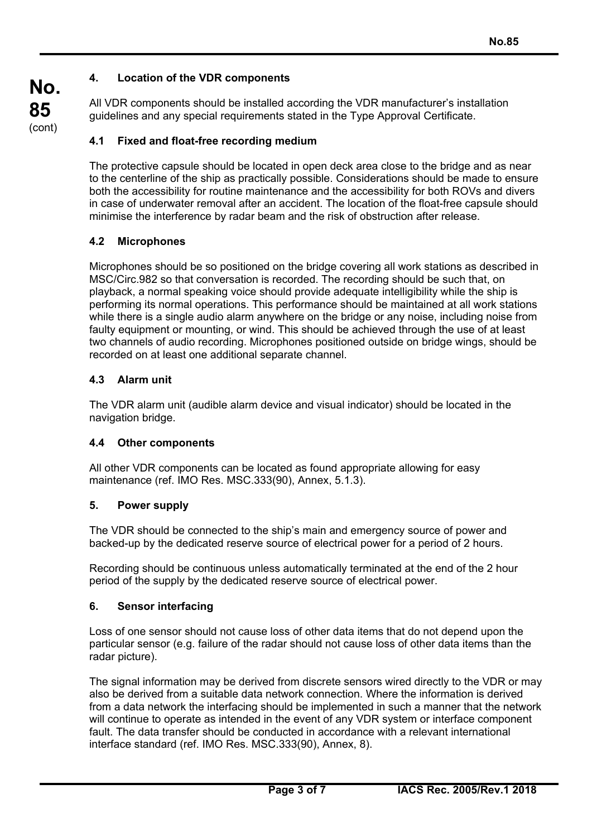## **4. Location of the VDR components**

All VDR components should be installed according the VDR manufacturer's installation guidelines and any special requirements stated in the Type Approval Certificate.

## **4.1 Fixed and float-free recording medium**

The protective capsule should be located in open deck area close to the bridge and as near to the centerline of the ship as practically possible. Considerations should be made to ensure both the accessibility for routine maintenance and the accessibility for both ROVs and divers in case of underwater removal after an accident. The location of the float-free capsule should minimise the interference by radar beam and the risk of obstruction after release.

## **4.2 Microphones**

Microphones should be so positioned on the bridge covering all work stations as described in MSC/Circ.982 so that conversation is recorded. The recording should be such that, on playback, a normal speaking voice should provide adequate intelligibility while the ship is performing its normal operations. This performance should be maintained at all work stations while there is a single audio alarm anywhere on the bridge or any noise, including noise from faulty equipment or mounting, or wind. This should be achieved through the use of at least two channels of audio recording. Microphones positioned outside on bridge wings, should be recorded on at least one additional separate channel.

## **4.3 Alarm unit**

The VDR alarm unit (audible alarm device and visual indicator) should be located in the navigation bridge.

#### **4.4 Other components**

All other VDR components can be located as found appropriate allowing for easy maintenance (ref. IMO Res. MSC.333(90), Annex, 5.1.3).

#### **5. Power supply**

The VDR should be connected to the ship's main and emergency source of power and backed-up by the dedicated reserve source of electrical power for a period of 2 hours.

Recording should be continuous unless automatically terminated at the end of the 2 hour period of the supply by the dedicated reserve source of electrical power.

#### **6. Sensor interfacing**

 $\overline{a}$ 

Loss of one sensor should not cause loss of other data items that do not depend upon the particular sensor (e.g. failure of the radar should not cause loss of other data items than the radar picture).

The signal information may be derived from discrete sensors wired directly to the VDR or may also be derived from a suitable data network connection. Where the information is derived from a data network the interfacing should be implemented in such a manner that the network will continue to operate as intended in the event of any VDR system or interface component fault. The data transfer should be conducted in accordance with a relevant international interface standard (ref. IMO Res. MSC.333(90), Annex, 8).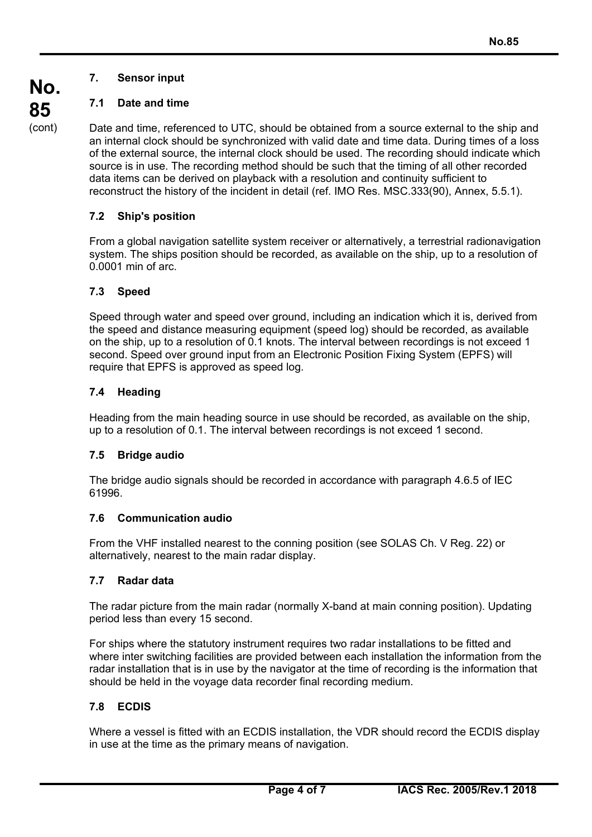# **7. Sensor input**

# **7.1 Date and time**

Date and time, referenced to UTC, should be obtained from a source external to the ship and an internal clock should be synchronized with valid date and time data. During times of a loss of the external source, the internal clock should be used. The recording should indicate which source is in use. The recording method should be such that the timing of all other recorded data items can be derived on playback with a resolution and continuity sufficient to reconstruct the history of the incident in detail (ref. IMO Res. MSC.333(90), Annex, 5.5.1).

# **7.2 Ship's position**

From a global navigation satellite system receiver or alternatively, a terrestrial radionavigation system. The ships position should be recorded, as available on the ship, up to a resolution of 0.0001 min of arc.

## **7.3 Speed**

Speed through water and speed over ground, including an indication which it is, derived from the speed and distance measuring equipment (speed log) should be recorded, as available on the ship, up to a resolution of 0.1 knots. The interval between recordings is not exceed 1 second. Speed over ground input from an Electronic Position Fixing System (EPFS) will require that EPFS is approved as speed log.

# **7.4 Heading**

Heading from the main heading source in use should be recorded, as available on the ship, up to a resolution of 0.1. The interval between recordings is not exceed 1 second.

## **7.5 Bridge audio**

The bridge audio signals should be recorded in accordance with paragraph 4.6.5 of IEC 61996.

## **7.6 Communication audio**

From the VHF installed nearest to the conning position (see SOLAS Ch. V Reg. 22) or alternatively, nearest to the main radar display.

## **7.7 Radar data**

The radar picture from the main radar (normally X-band at main conning position). Updating period less than every 15 second.

For ships where the statutory instrument requires two radar installations to be fitted and where inter switching facilities are provided between each installation the information from the radar installation that is in use by the navigator at the time of recording is the information that should be held in the voyage data recorder final recording medium.

## **7.8 ECDIS**

 $\overline{a}$ 

Where a vessel is fitted with an ECDIS installation, the VDR should record the ECDIS display in use at the time as the primary means of navigation.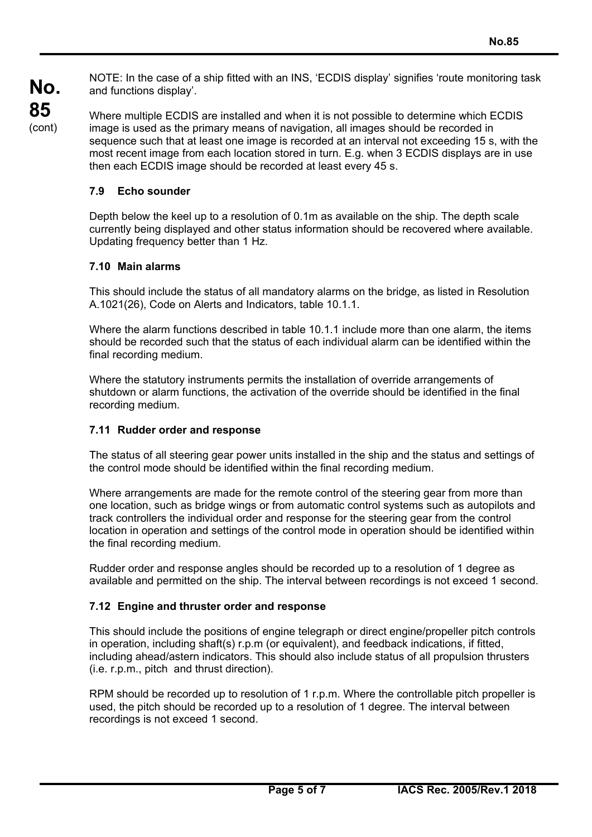NOTE: In the case of a ship fitted with an INS, 'ECDIS display' signifies 'route monitoring task and functions display'.

**No. 85**  (cont)

Where multiple ECDIS are installed and when it is not possible to determine which ECDIS image is used as the primary means of navigation, all images should be recorded in sequence such that at least one image is recorded at an interval not exceeding 15 s, with the most recent image from each location stored in turn. E.g. when 3 ECDIS displays are in use then each ECDIS image should be recorded at least every 45 s.

## **7.9 Echo sounder**

Depth below the keel up to a resolution of 0.1m as available on the ship. The depth scale currently being displayed and other status information should be recovered where available. Updating frequency better than 1 Hz.

## **7.10 Main alarms**

 $\overline{a}$ 

This should include the status of all mandatory alarms on the bridge, as listed in Resolution A.1021(26), Code on Alerts and Indicators, table 10.1.1.

Where the alarm functions described in table 10.1.1 include more than one alarm, the items should be recorded such that the status of each individual alarm can be identified within the final recording medium.

Where the statutory instruments permits the installation of override arrangements of shutdown or alarm functions, the activation of the override should be identified in the final recording medium.

#### **7.11 Rudder order and response**

The status of all steering gear power units installed in the ship and the status and settings of the control mode should be identified within the final recording medium.

Where arrangements are made for the remote control of the steering gear from more than one location, such as bridge wings or from automatic control systems such as autopilots and track controllers the individual order and response for the steering gear from the control location in operation and settings of the control mode in operation should be identified within the final recording medium.

Rudder order and response angles should be recorded up to a resolution of 1 degree as available and permitted on the ship. The interval between recordings is not exceed 1 second.

#### **7.12 Engine and thruster order and response**

This should include the positions of engine telegraph or direct engine/propeller pitch controls in operation, including shaft(s) r.p.m (or equivalent), and feedback indications, if fitted, including ahead/astern indicators. This should also include status of all propulsion thrusters (i.e. r.p.m., pitch and thrust direction).

RPM should be recorded up to resolution of 1 r.p.m. Where the controllable pitch propeller is used, the pitch should be recorded up to a resolution of 1 degree. The interval between recordings is not exceed 1 second.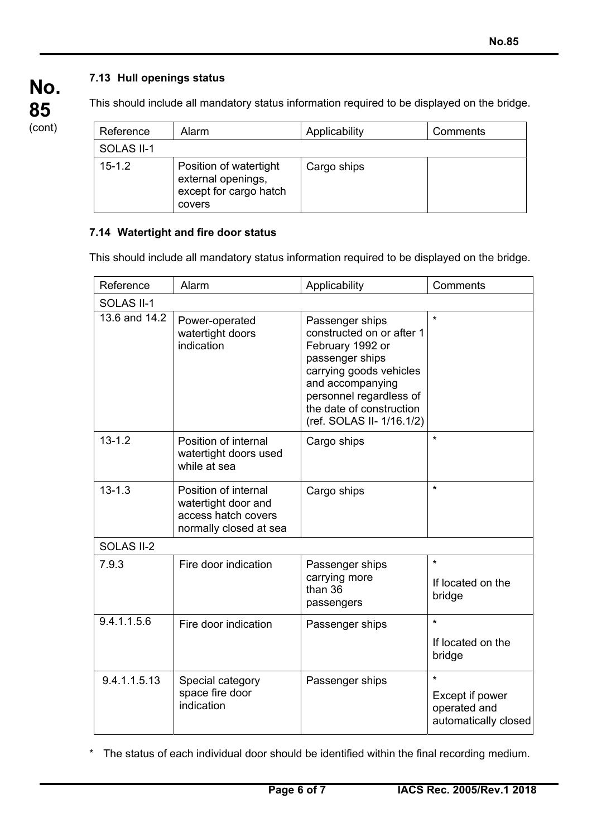# **7.13 Hull openings status**

**No. 85**  (cont)

 $\overline{a}$ 

This should include all mandatory status information required to be displayed on the bridge.

| Reference  | Alarm                                                                            | Applicability | Comments |
|------------|----------------------------------------------------------------------------------|---------------|----------|
| SOLAS II-1 |                                                                                  |               |          |
| $15 - 1.2$ | Position of watertight<br>external openings,<br>except for cargo hatch<br>covers | Cargo ships   |          |

## **7.14 Watertight and fire door status**

This should include all mandatory status information required to be displayed on the bridge.

| Reference     | Alarm                                                                                        | Applicability                                                                                                                                                                                                          | Comments                                                           |  |  |
|---------------|----------------------------------------------------------------------------------------------|------------------------------------------------------------------------------------------------------------------------------------------------------------------------------------------------------------------------|--------------------------------------------------------------------|--|--|
| SOLAS II-1    |                                                                                              |                                                                                                                                                                                                                        |                                                                    |  |  |
| 13.6 and 14.2 | Power-operated<br>watertight doors<br>indication                                             | Passenger ships<br>constructed on or after 1<br>February 1992 or<br>passenger ships<br>carrying goods vehicles<br>and accompanying<br>personnel regardless of<br>the date of construction<br>(ref. SOLAS II- 1/16.1/2) | $\star$                                                            |  |  |
| $13 - 1.2$    | Position of internal<br>watertight doors used<br>while at sea                                | Cargo ships                                                                                                                                                                                                            | $\star$                                                            |  |  |
| $13 - 1.3$    | Position of internal<br>watertight door and<br>access hatch covers<br>normally closed at sea | Cargo ships                                                                                                                                                                                                            | $\star$                                                            |  |  |
| SOLAS II-2    |                                                                                              |                                                                                                                                                                                                                        |                                                                    |  |  |
| 7.9.3         | Fire door indication                                                                         | Passenger ships<br>carrying more<br>than 36<br>passengers                                                                                                                                                              | $^\star$<br>If located on the<br>bridge                            |  |  |
| 9.4.1.1.5.6   | Fire door indication                                                                         | Passenger ships                                                                                                                                                                                                        | $\star$<br>If located on the<br>bridge                             |  |  |
| 9.4.1.1.5.13  | Special category<br>space fire door<br>indication                                            | Passenger ships                                                                                                                                                                                                        | $\star$<br>Except if power<br>operated and<br>automatically closed |  |  |

\* The status of each individual door should be identified within the final recording medium.